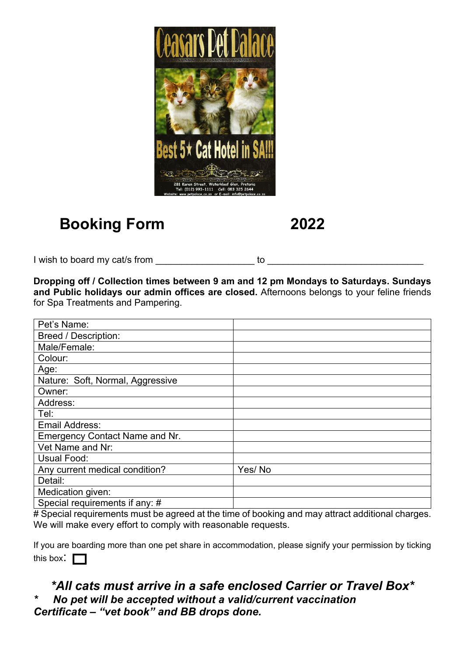

# **Booking Form 2022**

I wish to board my cat/s from example of the state of to  $\sim$ 

**Dropping off / Collection times between 9 am and 12 pm Mondays to Saturdays. Sundays and Public holidays our admin offices are closed.** Afternoons belongs to your feline friends for Spa Treatments and Pampering.

| Pet's Name:                      |        |
|----------------------------------|--------|
| <b>Breed / Description:</b>      |        |
| Male/Female:                     |        |
| Colour:                          |        |
| Age:                             |        |
| Nature: Soft, Normal, Aggressive |        |
| Owner:                           |        |
| Address:                         |        |
| Tel:                             |        |
| Email Address:                   |        |
| Emergency Contact Name and Nr.   |        |
| Vet Name and Nr:                 |        |
| Usual Food:                      |        |
| Any current medical condition?   | Yes/No |
| Detail:                          |        |
| Medication given:                |        |
| Special requirements if any: #   |        |

# Special requirements must be agreed at the time of booking and may attract additional charges. We will make every effort to comply with reasonable requests.

If you are boarding more than one pet share in accommodation, please signify your permission by ticking this box:  $\Box$ 

## *\*All cats must arrive in a safe enclosed Carrier or Travel Box\* \* No pet will be accepted without a valid/current vaccination Certificate – "vet book" and BB drops done.*